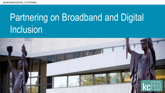## Partnering on Broadband and Digital Inclusion

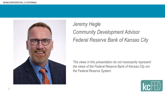

#### *Jeremy Hegle Community Development Advisor Federal Reserve Bank of Kansas City*

*The views in this presentation do not necessarily represent the views of the Federal Reserve Bank of Kansas City nor the Federal Reserve System*

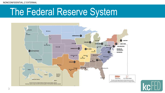NONCONFIDENTIAL // EXTERNAL

#### The Federal Reserve System



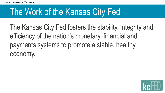#### The Work of the Kansas City Fed

The Kansas City Fed fosters the stability, integrity and efficiency of the nation's monetary, financial and payments systems to promote a stable, healthy economy.

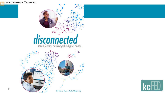NONCONFIDENTIAL // EXTERNAL

# **disconnected**



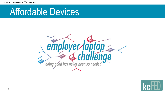#### Affordable Devices



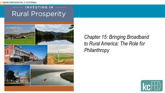NONCONFIDENTIAL // EXTERNAL

#### INVESTING IN **Rural Prosperity**



*Chapter 15: Bringing Broadband to Rural America: The Role for Philanthropy*

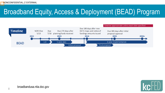#### Broadband Equity, Access & Deployment (BEAD) Program



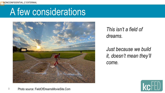#### A few considerations



*This isn't a field of dreams.*

*Just because we build it, doesn't mean they'll come.*

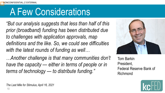#### A Few Considerations

*"But our analysis suggests that less than half of this prior (broadband) funding has been distributed due to challenges with application approvals, map definitions and the like. So, we could see difficulties with the latest rounds of funding as well…*

*…Another challenge is that many communities don't have the capacity — either in terms of people or in terms of technology — to distribute funding."*



Tom Barkin President, Federal Reserve Bank of Richmond

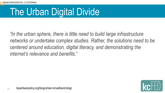### The Urban Digital Divide

*"In the urban sphere, there is little need to build large infrastructure networks or undertake complex studies. Rather, the solutions need to be centered around education, digital literacy, and demonstrating the internet's relevance and benefits*."

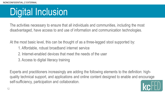#### Digital Inclusion

The activities necessary to ensure that all individuals and communities, including the most disadvantaged, have access to and use of information and communication technologies.

At the most basic level, this can be thought of as a three-legged stool supported by:

- 1. Affordable, robust broadband internet service
- 2. Internet-enabled devices that meet the needs of the user
- 3. Access to digital literacy training

Experts and practitioners increasingly are adding the following elements to the definition: highquality technical support, and applications and online content designed to enable and encourage self-sufficiency, participation and collaboration.

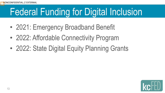### Federal Funding for Digital Inclusion

- 2021: Emergency Broadband Benefit
- 2022: Affordable Connectivity Program
- 2022: State Digital Equity Planning Grants

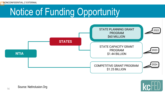# Notice of Funding Opportunity



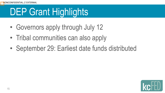# DEP Grant Highlights

- Governors apply through July 12
- Tribal communities can also apply
- September 29: Earliest date funds distributed

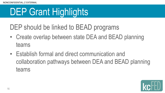# DEP Grant Highlights

- DEP should be linked to BEAD programs
- Create overlap between state DEA and BEAD planning teams
- Establish formal and direct communication and collaboration pathways between DEA and BEAD planning teams

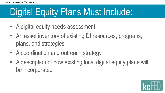### Digital Equity Plans Must Include:

- A digital equity needs assessment
- An asset inventory of existing DI resources, programs, plans, and strategies
- A coordination and outreach strategy
- A description of how existing local digital equity plans will be incorporated

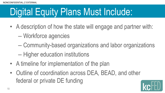# Digital Equity Plans Must Include:

- A description of how the state will engage and partner with:
	- Workforce agencies
	- Community-based organizations and labor organizations
	- Higher education institutions
- A timeline for implementation of the plan
- Outline of coordination across DEA, BEAD, and other federal or private DE funding

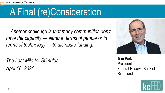#### A Final (re)Consideration

*…Another challenge is that many communities don't have the capacity — either in terms of people or in terms of technology — to distribute funding."*

*The Last Mile for Stimulus April 16, 2021*



Tom Barkin President, Federal Reserve Bank of Richmond